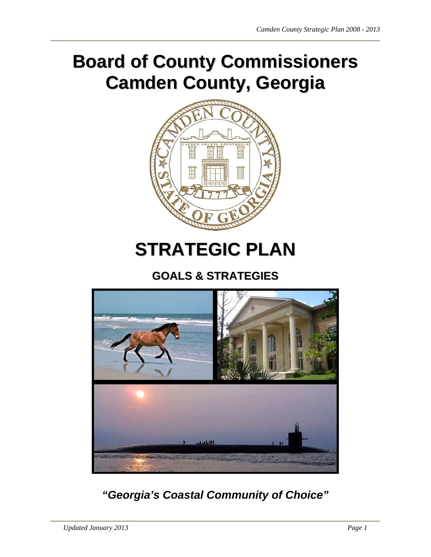# **Board of County Commissioners Camden County, Georgia**



# **STRATEGIC PLAN**

# **GOALS & STRATEGIES**



*"Georgia's Coastal Community of Choice"*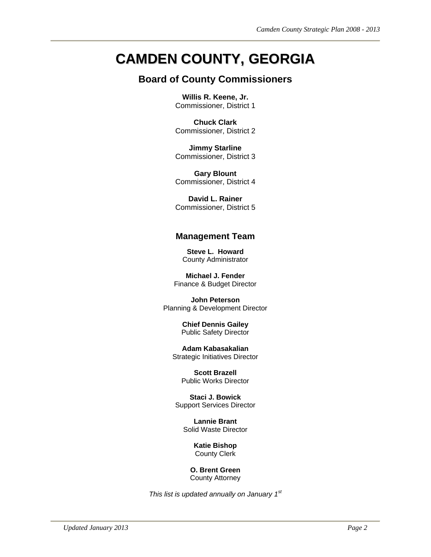# **CAMDEN COUNTY, GEORGIA**

# **Board of County Commissioners**

**Willis R. Keene, Jr.**  Commissioner, District 1

**Chuck Clark**  Commissioner, District 2

**Jimmy Starline**  Commissioner, District 3

**Gary Blount**  Commissioner, District 4

**David L. Rainer**  Commissioner, District 5

### **Management Team**

**Steve L. Howard**  County Administrator

**Michael J. Fender**  Finance & Budget Director

**John Peterson**  Planning & Development Director

> **Chief Dennis Gailey**  Public Safety Director

**Adam Kabasakalian**  Strategic Initiatives Director

> **Scott Brazell**  Public Works Director

**Staci J. Bowick**  Support Services Director

**Lannie Brant**  Solid Waste Director

> **Katie Bishop**  County Clerk

**O. Brent Green**  County Attorney

*This list is updated annually on January 1st*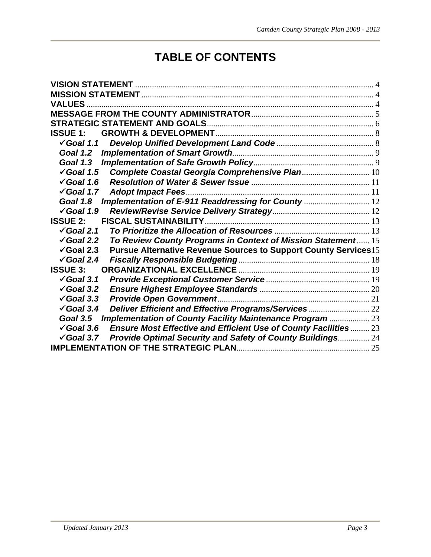# **TABLE OF CONTENTS**

| <b>VALUES</b>                                                                                   |  |
|-------------------------------------------------------------------------------------------------|--|
|                                                                                                 |  |
|                                                                                                 |  |
| <b>ISSUE 1:</b>                                                                                 |  |
| $\checkmark$ Goal 1.1                                                                           |  |
| Goal 1.2                                                                                        |  |
| Goal 1.3                                                                                        |  |
| Complete Coastal Georgia Comprehensive Plan 10<br>$\checkmark$ Goal 1.5                         |  |
| $\sqrt{G}$ oal 1.6                                                                              |  |
| $\sqrt{G}$ oal 1.7<br><b>Adopt Impact Fees</b>                                                  |  |
| Implementation of E-911 Readdressing for County  12<br>Goal 1.8                                 |  |
| $\sqrt{G}$ oal 1.9                                                                              |  |
| <b>ISSUE 2:</b>                                                                                 |  |
| $\checkmark$ Goal 2.1                                                                           |  |
| To Review County Programs in Context of Mission Statement 15<br>$\sqrt{3}$ Goal 2.2             |  |
| $\checkmark$ Goal 2.3<br><b>Pursue Alternative Revenue Sources to Support County Services15</b> |  |
| $\checkmark$ Goal 2.4                                                                           |  |
| <b>ISSUE 3:</b>                                                                                 |  |
| $\checkmark$ Goal 3.1                                                                           |  |
| $\sqrt{3}$ Goal 3.2                                                                             |  |
| $\checkmark$ Goal 3.3                                                                           |  |
| $\checkmark$ Goal 3.4                                                                           |  |
| <b>Implementation of County Facility Maintenance Program  23</b><br>Goal 3.5                    |  |
| <b>Ensure Most Effective and Efficient Use of County Facilities 23</b><br>$\checkmark$ Goal 3.6 |  |
| Provide Optimal Security and Safety of County Buildings 24<br>$\checkmark$ Goal 3.7             |  |
|                                                                                                 |  |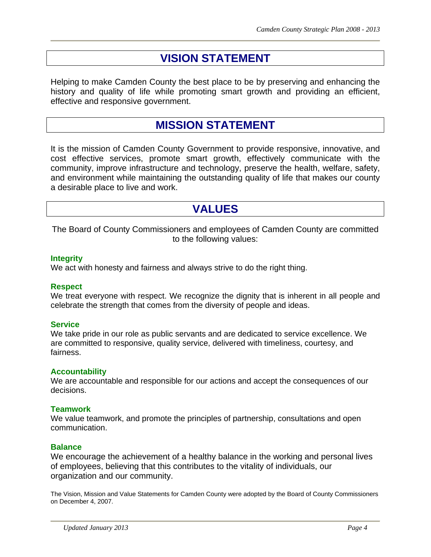# **VISION STATEMENT**

Helping to make Camden County the best place to be by preserving and enhancing the history and quality of life while promoting smart growth and providing an efficient, effective and responsive government.

# **MISSION STATEMENT**

It is the mission of Camden County Government to provide responsive, innovative, and cost effective services, promote smart growth, effectively communicate with the community, improve infrastructure and technology, preserve the health, welfare, safety, and environment while maintaining the outstanding quality of life that makes our county a desirable place to live and work.

# **VALUES**

The Board of County Commissioners and employees of Camden County are committed to the following values:

#### **Integrity**

We act with honesty and fairness and always strive to do the right thing.

#### **Respect**

We treat everyone with respect. We recognize the dignity that is inherent in all people and celebrate the strength that comes from the diversity of people and ideas.

#### **Service**

We take pride in our role as public servants and are dedicated to service excellence. We are committed to responsive, quality service, delivered with timeliness, courtesy, and fairness.

#### **Accountability**

We are accountable and responsible for our actions and accept the consequences of our decisions.

#### **Teamwork**

We value teamwork, and promote the principles of partnership, consultations and open communication.

#### **Balance**

We encourage the achievement of a healthy balance in the working and personal lives of employees, believing that this contributes to the vitality of individuals, our organization and our community.

The Vision, Mission and Value Statements for Camden County were adopted by the Board of County Commissioners on December 4, 2007.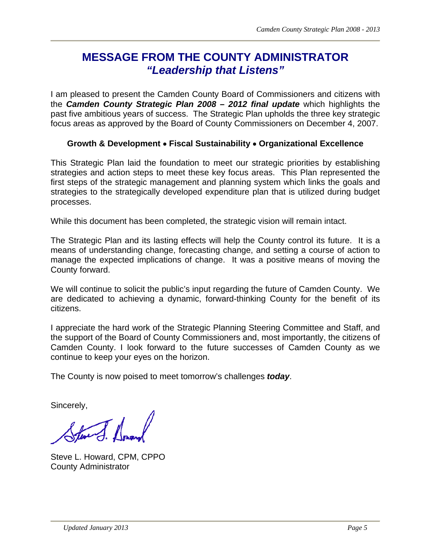# **MESSAGE FROM THE COUNTY ADMINISTRATOR** *"Leadership that Listens"*

I am pleased to present the Camden County Board of Commissioners and citizens with the *Camden County Strategic Plan 2008 – 2012 final update* which highlights the past five ambitious years of success. The Strategic Plan upholds the three key strategic focus areas as approved by the Board of County Commissioners on December 4, 2007.

### **Growth & Development Fiscal Sustainability Organizational Excellence**

This Strategic Plan laid the foundation to meet our strategic priorities by establishing strategies and action steps to meet these key focus areas. This Plan represented the first steps of the strategic management and planning system which links the goals and strategies to the strategically developed expenditure plan that is utilized during budget processes.

While this document has been completed, the strategic vision will remain intact.

The Strategic Plan and its lasting effects will help the County control its future. It is a means of understanding change, forecasting change, and setting a course of action to manage the expected implications of change. It was a positive means of moving the County forward.

We will continue to solicit the public's input regarding the future of Camden County. We are dedicated to achieving a dynamic, forward-thinking County for the benefit of its citizens.

I appreciate the hard work of the Strategic Planning Steering Committee and Staff, and the support of the Board of County Commissioners and, most importantly, the citizens of Camden County. I look forward to the future successes of Camden County as we continue to keep your eyes on the horizon.

The County is now poised to meet tomorrow's challenges *today*.

Sincerely,

Steve L. Howard, CPM, CPPO County Administrator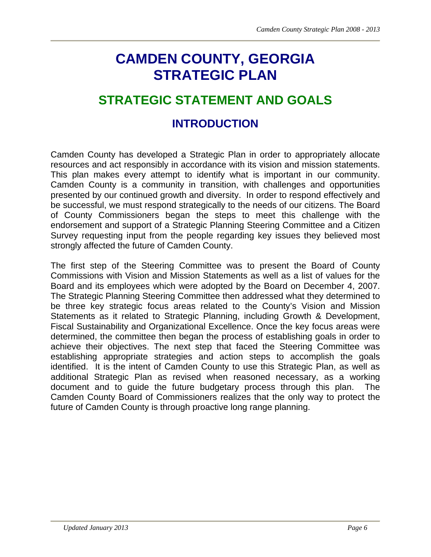# **CAMDEN COUNTY, GEORGIA STRATEGIC PLAN**

# **STRATEGIC STATEMENT AND GOALS**

# **INTRODUCTION**

Camden County has developed a Strategic Plan in order to appropriately allocate resources and act responsibly in accordance with its vision and mission statements. This plan makes every attempt to identify what is important in our community. Camden County is a community in transition, with challenges and opportunities presented by our continued growth and diversity. In order to respond effectively and be successful, we must respond strategically to the needs of our citizens. The Board of County Commissioners began the steps to meet this challenge with the endorsement and support of a Strategic Planning Steering Committee and a Citizen Survey requesting input from the people regarding key issues they believed most strongly affected the future of Camden County.

The first step of the Steering Committee was to present the Board of County Commissions with Vision and Mission Statements as well as a list of values for the Board and its employees which were adopted by the Board on December 4, 2007. The Strategic Planning Steering Committee then addressed what they determined to be three key strategic focus areas related to the County's Vision and Mission Statements as it related to Strategic Planning, including Growth & Development, Fiscal Sustainability and Organizational Excellence. Once the key focus areas were determined, the committee then began the process of establishing goals in order to achieve their objectives. The next step that faced the Steering Committee was establishing appropriate strategies and action steps to accomplish the goals identified. It is the intent of Camden County to use this Strategic Plan, as well as additional Strategic Plan as revised when reasoned necessary, as a working document and to guide the future budgetary process through this plan. The Camden County Board of Commissioners realizes that the only way to protect the future of Camden County is through proactive long range planning.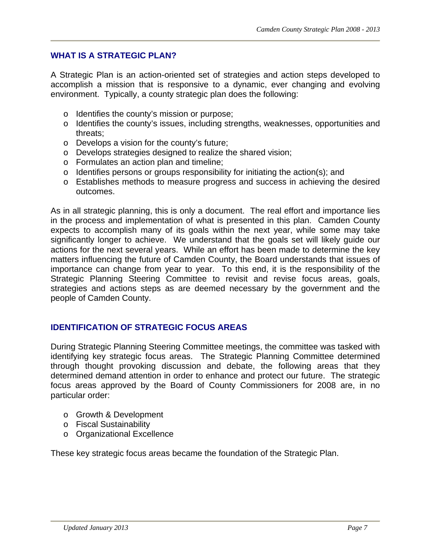### **WHAT IS A STRATEGIC PLAN?**

A Strategic Plan is an action-oriented set of strategies and action steps developed to accomplish a mission that is responsive to a dynamic, ever changing and evolving environment. Typically, a county strategic plan does the following:

- o Identifies the county's mission or purpose;
- o Identifies the county's issues, including strengths, weaknesses, opportunities and threats;
- o Develops a vision for the county's future;
- o Develops strategies designed to realize the shared vision;
- o Formulates an action plan and timeline;
- o Identifies persons or groups responsibility for initiating the action(s); and
- o Establishes methods to measure progress and success in achieving the desired outcomes.

As in all strategic planning, this is only a document. The real effort and importance lies in the process and implementation of what is presented in this plan. Camden County expects to accomplish many of its goals within the next year, while some may take significantly longer to achieve. We understand that the goals set will likely guide our actions for the next several years. While an effort has been made to determine the key matters influencing the future of Camden County, the Board understands that issues of importance can change from year to year. To this end, it is the responsibility of the Strategic Planning Steering Committee to revisit and revise focus areas, goals, strategies and actions steps as are deemed necessary by the government and the people of Camden County.

#### **IDENTIFICATION OF STRATEGIC FOCUS AREAS**

During Strategic Planning Steering Committee meetings, the committee was tasked with identifying key strategic focus areas. The Strategic Planning Committee determined through thought provoking discussion and debate, the following areas that they determined demand attention in order to enhance and protect our future. The strategic focus areas approved by the Board of County Commissioners for 2008 are, in no particular order:

- o Growth & Development
- o Fiscal Sustainability
- o Organizational Excellence

These key strategic focus areas became the foundation of the Strategic Plan.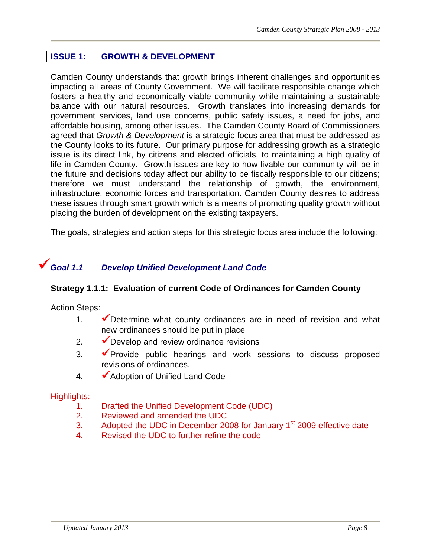# **ISSUE 1: GROWTH & DEVELOPMENT**

Camden County understands that growth brings inherent challenges and opportunities impacting all areas of County Government. We will facilitate responsible change which fosters a healthy and economically viable community while maintaining a sustainable balance with our natural resources. Growth translates into increasing demands for government services, land use concerns, public safety issues, a need for jobs, and affordable housing, among other issues. The Camden County Board of Commissioners agreed that *Growth & Development* is a strategic focus area that must be addressed as the County looks to its future. Our primary purpose for addressing growth as a strategic issue is its direct link, by citizens and elected officials, to maintaining a high quality of life in Camden County. Growth issues are key to how livable our community will be in the future and decisions today affect our ability to be fiscally responsible to our citizens; therefore we must understand the relationship of growth, the environment, infrastructure, economic forces and transportation. Camden County desires to address these issues through smart growth which is a means of promoting quality growth without placing the burden of development on the existing taxpayers.

The goals, strategies and action steps for this strategic focus area include the following:

# *Goal 1.1 Develop Unified Development Land Code*

### **Strategy 1.1.1: Evaluation of current Code of Ordinances for Camden County**

Action Steps:

- 1.  $\sqrt{\ }$  Determine what county ordinances are in need of revision and what new ordinances should be put in place
- 2.  $\sqrt{\phantom{a}}$  Develop and review ordinance revisions
- $3.$   $\checkmark$  Provide public hearings and work sessions to discuss proposed revisions of ordinances.
- 4. Adoption of Unified Land Code

- 1. Drafted the Unified Development Code (UDC)
- 2. Reviewed and amended the UDC
- 3. Adopted the UDC in December 2008 for January 1<sup>st</sup> 2009 effective date
- 4. Revised the UDC to further refine the code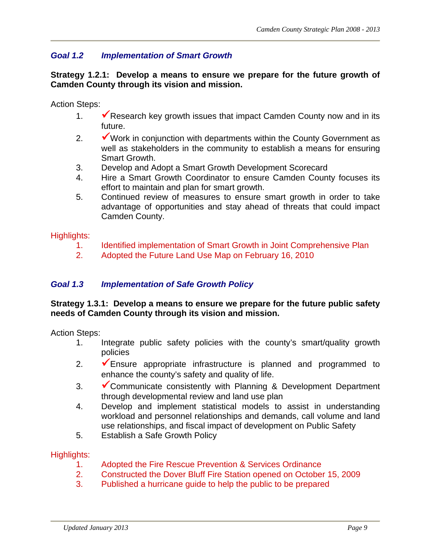# *Goal 1.2 Implementation of Smart Growth*

**Strategy 1.2.1: Develop a means to ensure we prepare for the future growth of Camden County through its vision and mission.**

Action Steps:

- 1.  $\blacktriangleright$  Research key growth issues that impact Camden County now and in its future.
- 2.  $\mathbf{\check{v}}$  Work in conjunction with departments within the County Government as well as stakeholders in the community to establish a means for ensuring Smart Growth.
- 3. Develop and Adopt a Smart Growth Development Scorecard
- 4. Hire a Smart Growth Coordinator to ensure Camden County focuses its effort to maintain and plan for smart growth.
- 5. Continued review of measures to ensure smart growth in order to take advantage of opportunities and stay ahead of threats that could impact Camden County.

#### Highlights:

- 1. Identified implementation of Smart Growth in Joint Comprehensive Plan
- 2. Adopted the Future Land Use Map on February 16, 2010

### *Goal 1.3 Implementation of Safe Growth Policy*

#### **Strategy 1.3.1: Develop a means to ensure we prepare for the future public safety needs of Camden County through its vision and mission.**

Action Steps:

- 1. Integrate public safety policies with the county's smart/quality growth policies
- 2.  $\sqrt{\frac{1}{2}}$  Ensure appropriate infrastructure is planned and programmed to enhance the county's safety and quality of life.
- 3. Communicate consistently with Planning & Development Department through developmental review and land use plan
- 4. Develop and implement statistical models to assist in understanding workload and personnel relationships and demands, call volume and land use relationships, and fiscal impact of development on Public Safety
- 5. Establish a Safe Growth Policy

- 1. Adopted the Fire Rescue Prevention & Services Ordinance
- 2. Constructed the Dover Bluff Fire Station opened on October 15, 2009
- 3. Published a hurricane guide to help the public to be prepared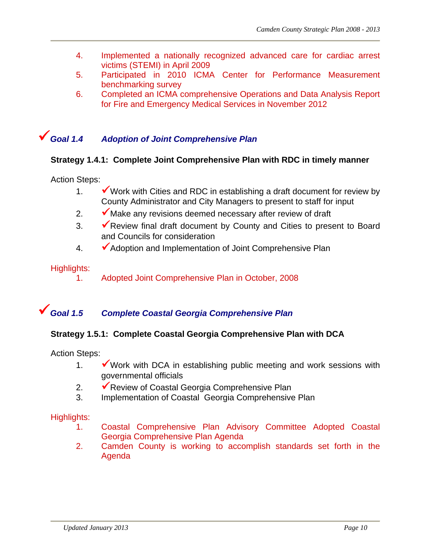- 4. Implemented a nationally recognized advanced care for cardiac arrest victims (STEMI) in April 2009
- 5. Participated in 2010 ICMA Center for Performance Measurement benchmarking survey
- 6. Completed an ICMA comprehensive Operations and Data Analysis Report for Fire and Emergency Medical Services in November 2012

# *Goal 1.4 Adoption of Joint Comprehensive Plan*

### **Strategy 1.4.1: Complete Joint Comprehensive Plan with RDC in timely manner**

#### Action Steps:

- 1.  $\blacktriangleright$  Work with Cities and RDC in establishing a draft document for review by County Administrator and City Managers to present to staff for input
- 2.  $\blacktriangleright$  Make any revisions deemed necessary after review of draft
- 3.  $\sqrt{\ }$  Review final draft document by County and Cities to present to Board and Councils for consideration
- 4. Adoption and Implementation of Joint Comprehensive Plan

#### Highlights:

1. Adopted Joint Comprehensive Plan in October, 2008

# *Goal 1.5 Complete Coastal Georgia Comprehensive Plan*

#### **Strategy 1.5.1: Complete Coastal Georgia Comprehensive Plan with DCA**

Action Steps:

- 1.  $\blacktriangleright$  Work with DCA in establishing public meeting and work sessions with governmental officials
- 2. **V** Review of Coastal Georgia Comprehensive Plan
- 3. Implementation of Coastal Georgia Comprehensive Plan

- 1. Coastal Comprehensive Plan Advisory Committee Adopted Coastal Georgia Comprehensive Plan Agenda
- 2. Camden County is working to accomplish standards set forth in the Agenda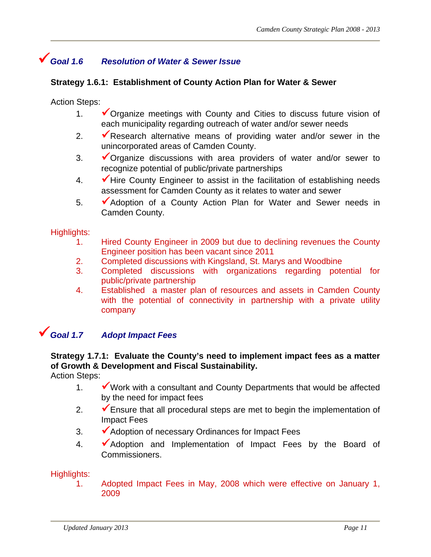# *Goal 1.6 Resolution of Water & Sewer Issue*

### **Strategy 1.6.1: Establishment of County Action Plan for Water & Sewer**

Action Steps:

- 1.  $\checkmark$  Organize meetings with County and Cities to discuss future vision of each municipality regarding outreach of water and/or sewer needs
- 2.  $\sqrt{\ }$ Research alternative means of providing water and/or sewer in the unincorporated areas of Camden County.
- 3.  $\checkmark$  Organize discussions with area providers of water and/or sewer to recognize potential of public/private partnerships
- 4.  $\blacktriangleright$  Hire County Engineer to assist in the facilitation of establishing needs assessment for Camden County as it relates to water and sewer
- 5. Adoption of a County Action Plan for Water and Sewer needs in Camden County.

#### Highlights:

- 1. Hired County Engineer in 2009 but due to declining revenues the County Engineer position has been vacant since 2011
- 2. Completed discussions with Kingsland, St. Marys and Woodbine
- 3. Completed discussions with organizations regarding potential for public/private partnership
- 4. Established a master plan of resources and assets in Camden County with the potential of connectivity in partnership with a private utility company

# *Goal 1.7 Adopt Impact Fees*

#### **Strategy 1.7.1: Evaluate the County's need to implement impact fees as a matter of Growth & Development and Fiscal Sustainability.**

Action Steps:

- 1.  $\checkmark$  Work with a consultant and County Departments that would be affected by the need for impact fees
- 2.  $\blacktriangleright$  Ensure that all procedural steps are met to begin the implementation of Impact Fees
- 3. Adoption of necessary Ordinances for Impact Fees
- 4. Adoption and Implementation of Impact Fees by the Board of Commissioners.

#### Highlights:

1. Adopted Impact Fees in May, 2008 which were effective on January 1, 2009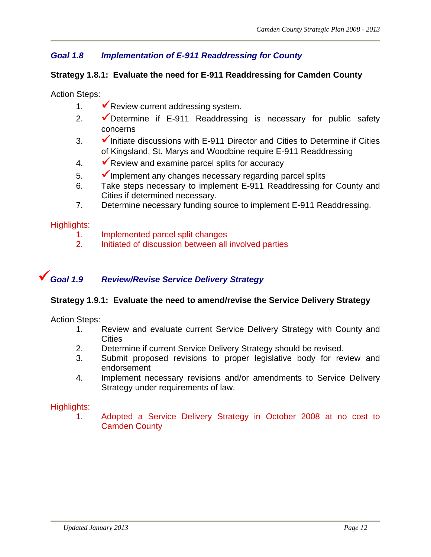# *Goal 1.8 Implementation of E-911 Readdressing for County*

## **Strategy 1.8.1: Evaluate the need for E-911 Readdressing for Camden County**

Action Steps:

- 1.  $\sqrt{\ }$  Review current addressing system.
- 2.  $\sqrt{\phantom{a}}$  Determine if E-911 Readdressing is necessary for public safety concerns
- $3.$   $\blacktriangleright$  Initiate discussions with E-911 Director and Cities to Determine if Cities of Kingsland, St. Marys and Woodbine require E-911 Readdressing
- 4.  $\sqrt{\phantom{a}}$  Review and examine parcel splits for accuracy
- $5.$   $\blacktriangleright$  Implement any changes necessary regarding parcel splits
- 6. Take steps necessary to implement E-911 Readdressing for County and Cities if determined necessary.
- 7. Determine necessary funding source to implement E-911 Readdressing.

### Highlights:

- 1. Implemented parcel split changes
- 2. Initiated of discussion between all involved parties

# *Goal 1.9 Review/Revise Service Delivery Strategy*

### **Strategy 1.9.1: Evaluate the need to amend/revise the Service Delivery Strategy**

Action Steps:

- 1. Review and evaluate current Service Delivery Strategy with County and **Cities**
- 2. Determine if current Service Delivery Strategy should be revised.
- 3. Submit proposed revisions to proper legislative body for review and endorsement
- 4. Implement necessary revisions and/or amendments to Service Delivery Strategy under requirements of law.

#### Highlights:

1. Adopted a Service Delivery Strategy in October 2008 at no cost to Camden County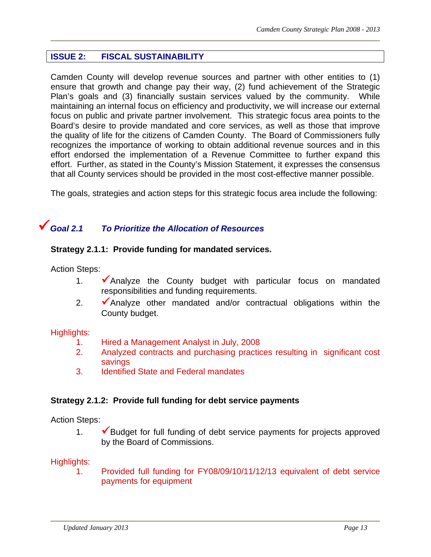# **ISSUE 2: FISCAL SUSTAINABILITY**

Camden County will develop revenue sources and partner with other entities to (1) ensure that growth and change pay their way, (2) fund achievement of the Strategic Plan's goals and (3) financially sustain services valued by the community. While maintaining an internal focus on efficiency and productivity, we will increase our external focus on public and private partner involvement. This strategic focus area points to the Board's desire to provide mandated and core services, as well as those that improve the quality of life for the citizens of Camden County. The Board of Commissioners fully recognizes the importance of working to obtain additional revenue sources and in this effort endorsed the implementation of a Revenue Committee to further expand this effort. Further, as stated in the County's Mission Statement, it expresses the consensus that all County services should be provided in the most cost-effective manner possible.

The goals, strategies and action steps for this strategic focus area include the following:

# *Goal 2.1 To Prioritize the Allocation of Resources*

#### **Strategy 2.1.1: Provide funding for mandated services.**

Action Steps:

- 1.  $\sqrt{\ }$  Analyze the County budget with particular focus on mandated responsibilities and funding requirements.
- 2.  $\blacktriangleright$  Analyze other mandated and/or contractual obligations within the County budget.

#### Highlights:

- 1. Hired a Management Analyst in July, 2008
- 2. Analyzed contracts and purchasing practices resulting in significant cost savings
- 3. Identified State and Federal mandates

### **Strategy 2.1.2: Provide full funding for debt service payments**

Action Steps:

1.  $\blacktriangleright$  Budget for full funding of debt service payments for projects approved by the Board of Commissions.

#### Highlights:

1. Provided full funding for FY08/09/10/11/12/13 equivalent of debt service payments for equipment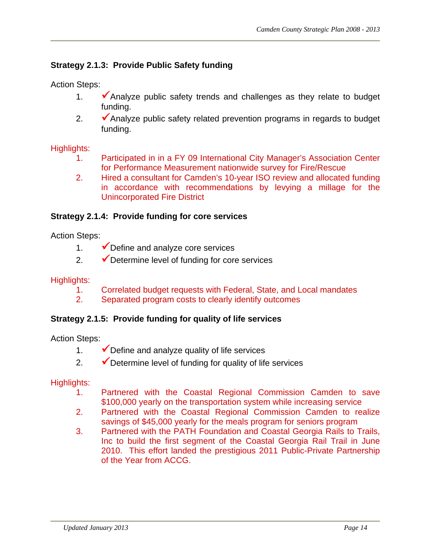# **Strategy 2.1.3: Provide Public Safety funding**

Action Steps:

- 1.  $\blacktriangleright$  Analyze public safety trends and challenges as they relate to budget funding.
- 2.  $\blacktriangleright$  Analyze public safety related prevention programs in regards to budget funding.

## Highlights:

- 1. Participated in in a FY 09 International City Manager's Association Center for Performance Measurement nationwide survey for Fire/Rescue
- 2. Hired a consultant for Camden's 10-year ISO review and allocated funding in accordance with recommendations by levying a millage for the Unincorporated Fire District

## **Strategy 2.1.4: Provide funding for core services**

Action Steps:

- 1.  $\sqrt{\phantom{a}}$  Define and analyze core services
- 2.  $\sqrt{\phantom{a}}$  Determine level of funding for core services

### Highlights:

- 1. Correlated budget requests with Federal, State, and Local mandates
- 2. Separated program costs to clearly identify outcomes

### **Strategy 2.1.5: Provide funding for quality of life services**

Action Steps:

- 1.  $\vee$  Define and analyze quality of life services
- 2.  $\blacktriangleright$  Determine level of funding for quality of life services

- 1. Partnered with the Coastal Regional Commission Camden to save \$100,000 yearly on the transportation system while increasing service
- 2. Partnered with the Coastal Regional Commission Camden to realize savings of \$45,000 yearly for the meals program for seniors program
- 3. Partnered with the PATH Foundation and Coastal Georgia Rails to Trails, Inc to build the first segment of the Coastal Georgia Rail Trail in June 2010. This effort landed the prestigious 2011 Public-Private Partnership of the Year from ACCG.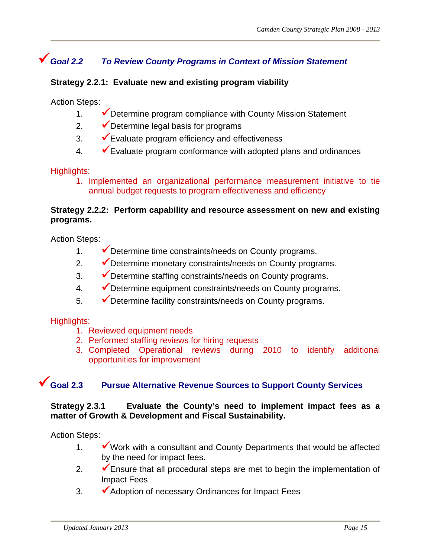# *Goal 2.2 To Review County Programs in Context of Mission Statement*

## **Strategy 2.2.1: Evaluate new and existing program viability**

Action Steps:

- 1.  $\blacktriangleright$  Determine program compliance with County Mission Statement
- 2.  $\sqrt{\phantom{a}}$  Determine legal basis for programs
- $3.$   $\blacktriangleright$  Evaluate program efficiency and effectiveness
- $4.$   $\checkmark$  Evaluate program conformance with adopted plans and ordinances

### Highlights:

1. Implemented an organizational performance measurement initiative to tie annual budget requests to program effectiveness and efficiency

### **Strategy 2.2.2: Perform capability and resource assessment on new and existing programs.**

Action Steps:

- 1. V Determine time constraints/needs on County programs.
- 2. V Determine monetary constraints/needs on County programs.
- $3.$   $\checkmark$  Determine staffing constraints/needs on County programs.
- 4. V Determine equipment constraints/needs on County programs.
- $\overline{\mathcal{P}}$  Determine facility constraints/needs on County programs.

### Highlights:

- 1. Reviewed equipment needs
- 2. Performed staffing reviews for hiring requests
- 3. Completed Operational reviews during 2010 to identify additional opportunities for improvement

# **Goal 2.3 Pursue Alternative Revenue Sources to Support County Services**

#### **Strategy 2.3.1 Evaluate the County's need to implement impact fees as a matter of Growth & Development and Fiscal Sustainability.**

Action Steps:

- 1.  $\mathbf{\mathsf{v}}$  Work with a consultant and County Departments that would be affected by the need for impact fees.
- 2.  $\blacktriangleright$  Ensure that all procedural steps are met to begin the implementation of Impact Fees
- $3.$   $\blacktriangleright$  Adoption of necessary Ordinances for Impact Fees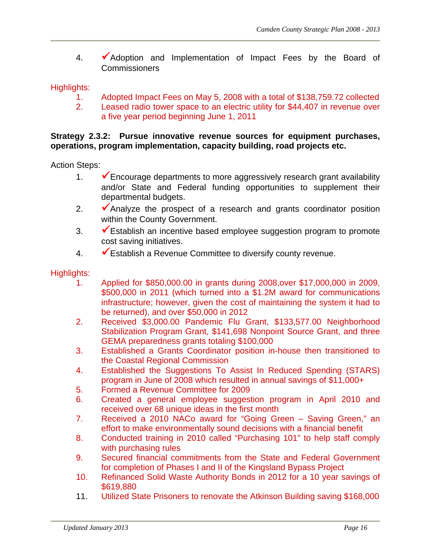4. • Adoption and Implementation of Impact Fees by the Board of Commissioners

Highlights:

- 1. Adopted Impact Fees on May 5, 2008 with a total of \$138,759.72 collected
- 2. Leased radio tower space to an electric utility for \$44,407 in revenue over a five year period beginning June 1, 2011

#### **Strategy 2.3.2: Pursue innovative revenue sources for equipment purchases, operations, program implementation, capacity building, road projects etc.**

Action Steps:

- 1.  $\blacktriangleright$  Encourage departments to more aggressively research grant availability and/or State and Federal funding opportunities to supplement their departmental budgets.
- 2.  $\blacktriangleright$  Analyze the prospect of a research and grants coordinator position within the County Government.
- $3.$   $\blacktriangleright$  Establish an incentive based employee suggestion program to promote cost saving initiatives.
- 4.  $\checkmark$  Establish a Revenue Committee to diversify county revenue.

- 1. Applied for \$850,000.00 in grants during 2008,over \$17,000,000 in 2009, \$500,000 in 2011 (which turned into a \$1.2M award for communications infrastructure; however, given the cost of maintaining the system it had to be returned), and over \$50,000 in 2012
- 2. Received \$3,000.00 Pandemic Flu Grant, \$133,577.00 Neighborhood Stabilization Program Grant, \$141,698 Nonpoint Source Grant, and three GEMA preparedness grants totaling \$100,000
- 3. Established a Grants Coordinator position in-house then transitioned to the Coastal Regional Commission
- 4. Established the Suggestions To Assist In Reduced Spending (STARS) program in June of 2008 which resulted in annual savings of \$11,000+
- 5. Formed a Revenue Committee for 2009
- 6. Created a general employee suggestion program in April 2010 and received over 68 unique ideas in the first month
- 7. Received a 2010 NACo award for "Going Green Saving Green," an effort to make environmentally sound decisions with a financial benefit
- 8. Conducted training in 2010 called "Purchasing 101" to help staff comply with purchasing rules
- 9. Secured financial commitments from the State and Federal Government for completion of Phases I and II of the Kingsland Bypass Project
- 10. Refinanced Solid Waste Authority Bonds in 2012 for a 10 year savings of \$619,880
- 11. Utilized State Prisoners to renovate the Atkinson Building saving \$168,000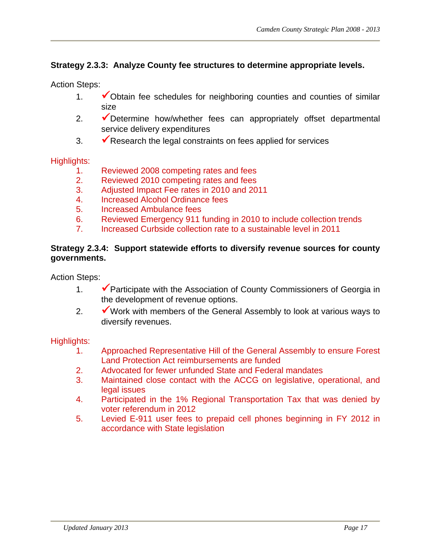# **Strategy 2.3.3: Analyze County fee structures to determine appropriate levels.**

Action Steps:

- 1.  $\checkmark$  Obtain fee schedules for neighboring counties and counties of similar size
- 2. Determine how/whether fees can appropriately offset departmental service delivery expenditures
- $3.$   $\blacktriangleright$  Research the legal constraints on fees applied for services

#### Highlights:

- 1. Reviewed 2008 competing rates and fees
- 2. Reviewed 2010 competing rates and fees
- 3. Adjusted Impact Fee rates in 2010 and 2011
- 4. Increased Alcohol Ordinance fees
- 5. Increased Ambulance fees
- 6. Reviewed Emergency 911 funding in 2010 to include collection trends
- 7. Increased Curbside collection rate to a sustainable level in 2011

#### **Strategy 2.3.4: Support statewide efforts to diversify revenue sources for county governments.**

Action Steps:

- 1.  $\blacktriangleright$  Participate with the Association of County Commissioners of Georgia in the development of revenue options.
- 2.  $\mathbf{\check{v}}$  Work with members of the General Assembly to look at various ways to diversify revenues.

- 1. Approached Representative Hill of the General Assembly to ensure Forest Land Protection Act reimbursements are funded
- 2. Advocated for fewer unfunded State and Federal mandates
- 3. Maintained close contact with the ACCG on legislative, operational, and legal issues
- 4. Participated in the 1% Regional Transportation Tax that was denied by voter referendum in 2012
- 5. Levied E-911 user fees to prepaid cell phones beginning in FY 2012 in accordance with State legislation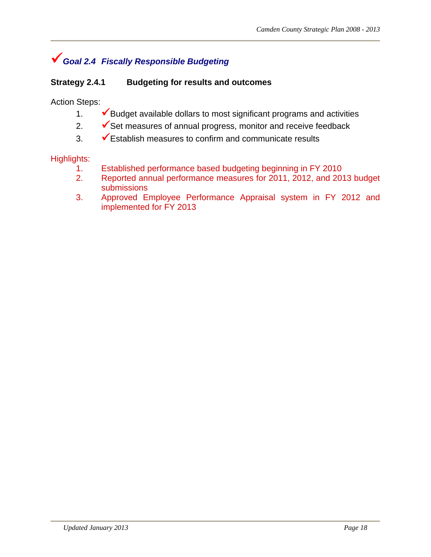# *Goal 2.4 Fiscally Responsible Budgeting*

## **Strategy 2.4.1 Budgeting for results and outcomes**

Action Steps:

- 1.  $\blacktriangleright$  Budget available dollars to most significant programs and activities
- 2.  $\checkmark$  Set measures of annual progress, monitor and receive feedback
- $3.$   $\checkmark$  Establish measures to confirm and communicate results

- 1. Established performance based budgeting beginning in FY 2010
- 2. Reported annual performance measures for 2011, 2012, and 2013 budget submissions
- 3. Approved Employee Performance Appraisal system in FY 2012 and implemented for FY 2013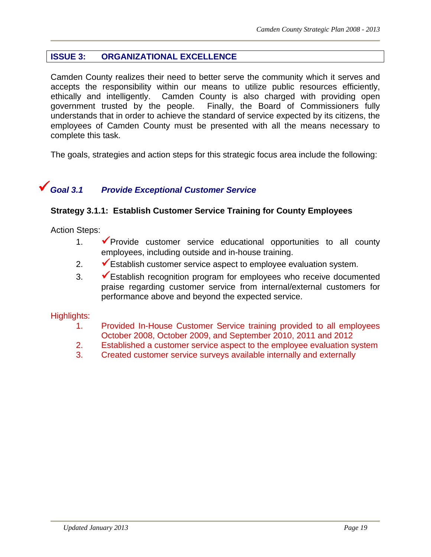# **ISSUE 3: ORGANIZATIONAL EXCELLENCE**

Camden County realizes their need to better serve the community which it serves and accepts the responsibility within our means to utilize public resources efficiently, ethically and intelligently. Camden County is also charged with providing open government trusted by the people. Finally, the Board of Commissioners fully understands that in order to achieve the standard of service expected by its citizens, the employees of Camden County must be presented with all the means necessary to complete this task.

The goals, strategies and action steps for this strategic focus area include the following:

# *Goal 3.1 Provide Exceptional Customer Service*

#### **Strategy 3.1.1: Establish Customer Service Training for County Employees**

Action Steps:

- 1.  $\sqrt{\frac{P}{Q}}$  Provide customer service educational opportunities to all county employees, including outside and in-house training.
- 2.  $\blacktriangleright$  Establish customer service aspect to employee evaluation system.
- $3.$   $\checkmark$  Establish recognition program for employees who receive documented praise regarding customer service from internal/external customers for performance above and beyond the expected service.

- 1. Provided In-House Customer Service training provided to all employees October 2008, October 2009, and September 2010, 2011 and 2012
- 2. Established a customer service aspect to the employee evaluation system
- 3. Created customer service surveys available internally and externally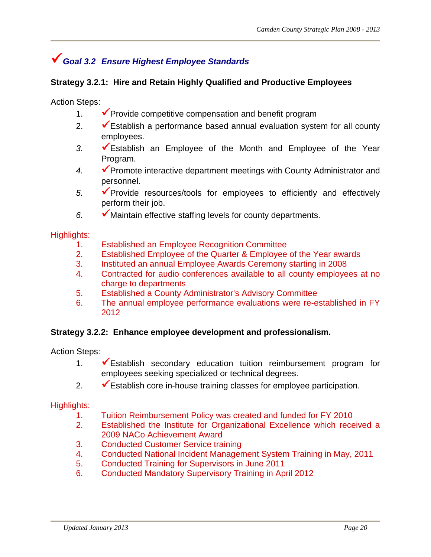# *Goal 3.2 Ensure Highest Employee Standards*

## **Strategy 3.2.1: Hire and Retain Highly Qualified and Productive Employees**

Action Steps:

- 1.  $\blacktriangleright$  Provide competitive compensation and benefit program
- 2.  $\checkmark$  Establish a performance based annual evaluation system for all county employees.
- *3.* Establish an Employee of the Month and Employee of the Year Program.
- 4. **Promote interactive department meetings with County Administrator and** personnel.
- 5. **Provide resources/tools for employees to efficiently and effectively** perform their job.
- *6.* Maintain effective staffing levels for county departments.

#### Highlights:

- 1. Established an Employee Recognition Committee
- 2. Established Employee of the Quarter & Employee of the Year awards
- 3. Instituted an annual Employee Awards Ceremony starting in 2008
- 4. Contracted for audio conferences available to all county employees at no charge to departments
- 5. Established a County Administrator's Advisory Committee
- 6. The annual employee performance evaluations were re-established in FY 2012

### **Strategy 3.2.2: Enhance employee development and professionalism.**

Action Steps:

- 1.  $\checkmark$  Establish secondary education tuition reimbursement program for employees seeking specialized or technical degrees.
- 2.  $\blacktriangleright$  Establish core in-house training classes for employee participation.

- 1. Tuition Reimbursement Policy was created and funded for FY 2010
- 2. Established the Institute for Organizational Excellence which received a 2009 NACo Achievement Award
- 3. Conducted Customer Service training
- 4. Conducted National Incident Management System Training in May, 2011
- 5. Conducted Training for Supervisors in June 2011
- 6. Conducted Mandatory Supervisory Training in April 2012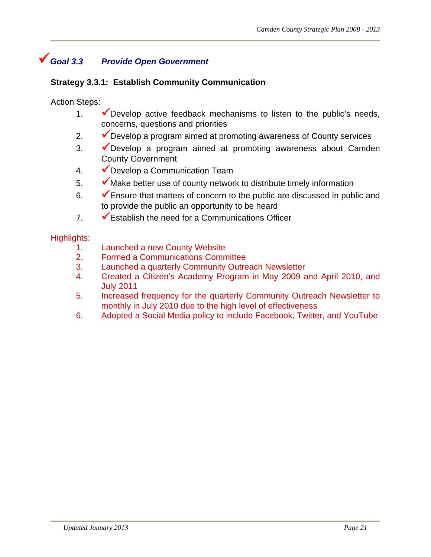# *Goal 3.3 Provide Open Government*

### **Strategy 3.3.1: Establish Community Communication**

Action Steps:

- 1.  $\checkmark$  Develop active feedback mechanisms to listen to the public's needs, concerns, questions and priorities
- 2.  $\blacktriangleright$  Develop a program aimed at promoting awareness of County services
- $3.$   $\checkmark$  Develop a program aimed at promoting awareness about Camden County Government
- 4. V Develop a Communication Team
- $5.$   $\blacktriangleright$  Make better use of county network to distribute timely information
- 6.  $\checkmark$  Ensure that matters of concern to the public are discussed in public and to provide the public an opportunity to be heard
- $7.$  Establish the need for a Communications Officer

- 1. Launched a new County Website
- 2. Formed a Communications Committee
- 3. Launched a quarterly Community Outreach Newsletter
- 4. Created a Citizen's Academy Program in May 2009 and April 2010, and July 2011
- 5. Increased frequency for the quarterly Community Outreach Newsletter to monthly in July 2010 due to the high level of effectiveness
- 6. Adopted a Social Media policy to include Facebook, Twitter, and YouTube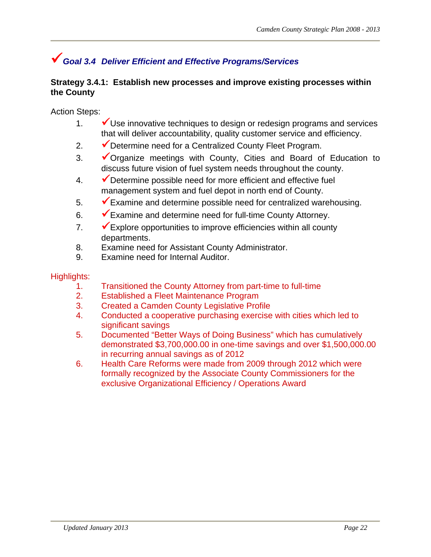# *Goal 3.4 Deliver Efficient and Effective Programs/Services*

### **Strategy 3.4.1: Establish new processes and improve existing processes within the County**

Action Steps:

- 1.  $\mathbf{\check{v}}$  Use innovative techniques to design or redesign programs and services that will deliver accountability, quality customer service and efficiency.
- 2.  $\blacktriangleright$  Determine need for a Centralized County Fleet Program.
- 3.  $\checkmark$  Organize meetings with County, Cities and Board of Education to discuss future vision of fuel system needs throughout the county.
- $4.$   $\blacktriangleright$  Determine possible need for more efficient and effective fuel management system and fuel depot in north end of County.
- $\overline{\mathcal{F}}$  Examine and determine possible need for centralized warehousing.
- $6.$   $\blacktriangleright$  Examine and determine need for full-time County Attorney.
- 7.  $\blacktriangleright$  Explore opportunities to improve efficiencies within all county departments.
- 8. Examine need for Assistant County Administrator.
- 9. Examine need for Internal Auditor.

- 1. Transitioned the County Attorney from part-time to full-time
- 2. Established a Fleet Maintenance Program
- 3. Created a Camden County Legislative Profile
- 4. Conducted a cooperative purchasing exercise with cities which led to significant savings
- 5. Documented "Better Ways of Doing Business" which has cumulatively demonstrated \$3,700,000.00 in one-time savings and over \$1,500,000.00 in recurring annual savings as of 2012
- 6. Health Care Reforms were made from 2009 through 2012 which were formally recognized by the Associate County Commissioners for the exclusive Organizational Efficiency / Operations Award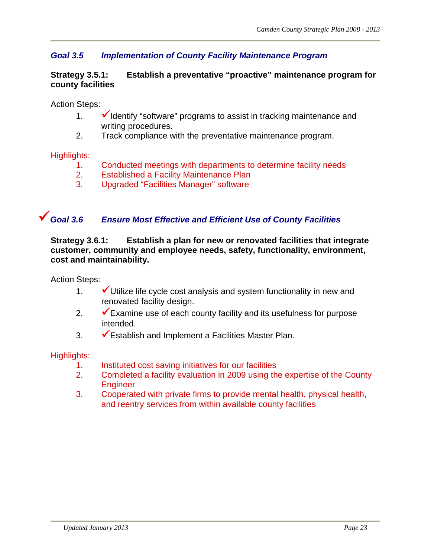# *Goal 3.5 Implementation of County Facility Maintenance Program*

#### **Strategy 3.5.1: Establish a preventative "proactive" maintenance program for county facilities**

Action Steps:

- 1.  $\blacktriangleright$  Identify "software" programs to assist in tracking maintenance and writing procedures.
- 2. Track compliance with the preventative maintenance program.

Highlights:

- 1. Conducted meetings with departments to determine facility needs
- 2. Established a Facility Maintenance Plan
- 3. Upgraded "Facilities Manager" software

# *Goal 3.6 Ensure Most Effective and Efficient Use of County Facilities*

**Strategy 3.6.1: Establish a plan for new or renovated facilities that integrate customer, community and employee needs, safety, functionality, environment, cost and maintainability.** 

Action Steps:

- 1.  $\checkmark$  Utilize life cycle cost analysis and system functionality in new and renovated facility design.
- 2.  $\blacktriangleright$  Examine use of each county facility and its usefulness for purpose intended.
- 3.  $\checkmark$  Establish and Implement a Facilities Master Plan.

- 1. Instituted cost saving initiatives for our facilities
- 2. Completed a facility evaluation in 2009 using the expertise of the County **Engineer**
- 3. Cooperated with private firms to provide mental health, physical health, and reentry services from within available county facilities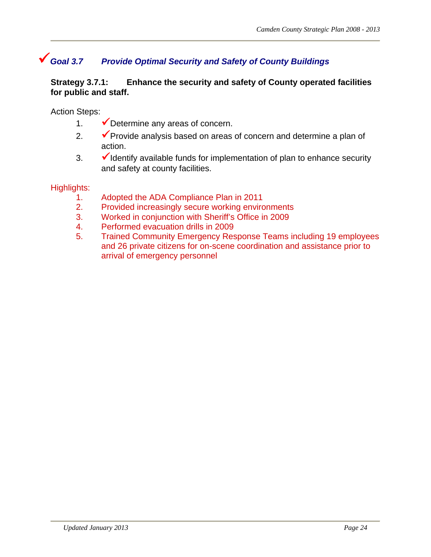# *Goal 3.7 Provide Optimal Security and Safety of County Buildings*

### **Strategy 3.7.1: Enhance the security and safety of County operated facilities for public and staff.**

Action Steps:

- 1.  $\blacktriangleright$  Determine any areas of concern.
- 2.  $\blacktriangleright$  Provide analysis based on areas of concern and determine a plan of action.
- $3.$   $\checkmark$  Identify available funds for implementation of plan to enhance security and safety at county facilities.

- 1. Adopted the ADA Compliance Plan in 2011
- 2. Provided increasingly secure working environments
- 3. Worked in conjunction with Sheriff's Office in 2009
- 4. Performed evacuation drills in 2009
- 5. Trained Community Emergency Response Teams including 19 employees and 26 private citizens for on-scene coordination and assistance prior to arrival of emergency personnel